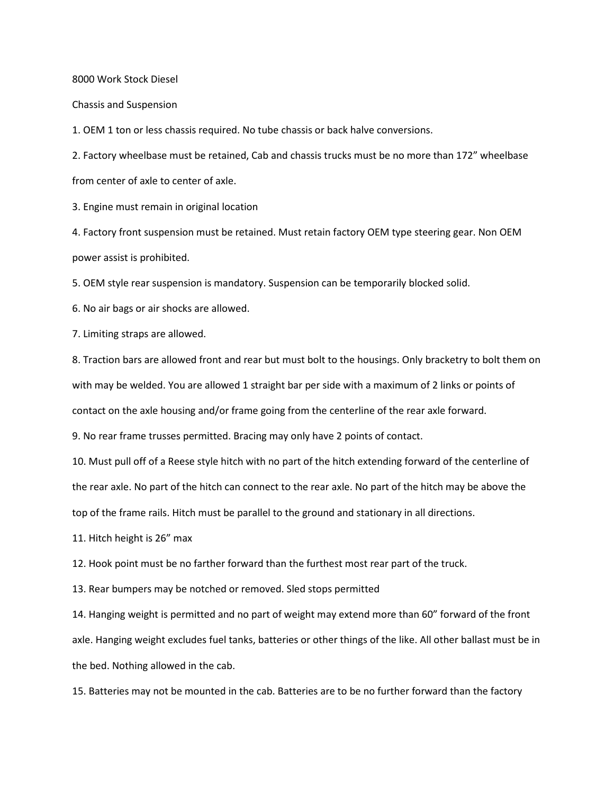8000 Work Stock Diesel

Chassis and Suspension

1. OEM 1 ton or less chassis required. No tube chassis or back halve conversions.

2. Factory wheelbase must be retained, Cab and chassis trucks must be no more than 172" wheelbase from center of axle to center of axle.

3. Engine must remain in original location

4. Factory front suspension must be retained. Must retain factory OEM type steering gear. Non OEM power assist is prohibited.

5. OEM style rear suspension is mandatory. Suspension can be temporarily blocked solid.

6. No air bags or air shocks are allowed.

7. Limiting straps are allowed.

8. Traction bars are allowed front and rear but must bolt to the housings. Only bracketry to bolt them on with may be welded. You are allowed 1 straight bar per side with a maximum of 2 links or points of contact on the axle housing and/or frame going from the centerline of the rear axle forward.

9. No rear frame trusses permitted. Bracing may only have 2 points of contact.

10. Must pull off of a Reese style hitch with no part of the hitch extending forward of the centerline of

the rear axle. No part of the hitch can connect to the rear axle. No part of the hitch may be above the

top of the frame rails. Hitch must be parallel to the ground and stationary in all directions.

11. Hitch height is 26" max

12. Hook point must be no farther forward than the furthest most rear part of the truck.

13. Rear bumpers may be notched or removed. Sled stops permitted

14. Hanging weight is permitted and no part of weight may extend more than 60" forward of the front axle. Hanging weight excludes fuel tanks, batteries or other things of the like. All other ballast must be in the bed. Nothing allowed in the cab.

15. Batteries may not be mounted in the cab. Batteries are to be no further forward than the factory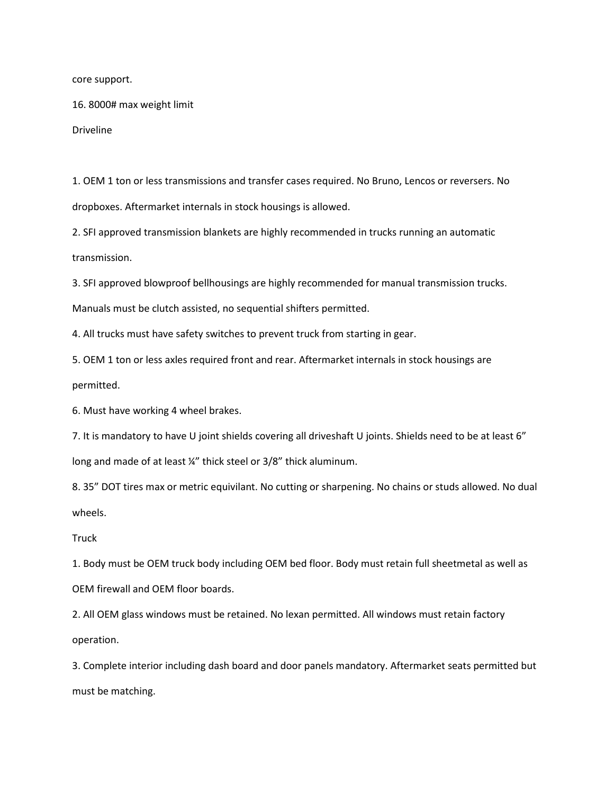core support.

16. 8000# max weight limit

Driveline

1. OEM 1 ton or less transmissions and transfer cases required. No Bruno, Lencos or reversers. No dropboxes. Aftermarket internals in stock housings is allowed.

2. SFI approved transmission blankets are highly recommended in trucks running an automatic transmission.

3. SFI approved blowproof bellhousings are highly recommended for manual transmission trucks.

Manuals must be clutch assisted, no sequential shifters permitted.

4. All trucks must have safety switches to prevent truck from starting in gear.

5. OEM 1 ton or less axles required front and rear. Aftermarket internals in stock housings are permitted.

6. Must have working 4 wheel brakes.

7. It is mandatory to have U joint shields covering all driveshaft U joints. Shields need to be at least 6" long and made of at least ¼" thick steel or 3/8" thick aluminum.

8. 35" DOT tires max or metric equivilant. No cutting or sharpening. No chains or studs allowed. No dual wheels.

## Truck

1. Body must be OEM truck body including OEM bed floor. Body must retain full sheetmetal as well as OEM firewall and OEM floor boards.

2. All OEM glass windows must be retained. No lexan permitted. All windows must retain factory operation.

3. Complete interior including dash board and door panels mandatory. Aftermarket seats permitted but must be matching.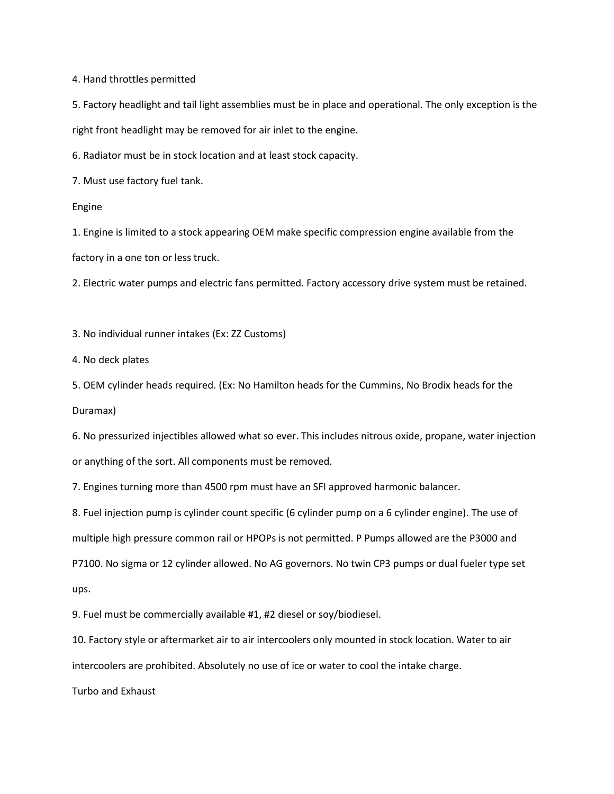4. Hand throttles permitted

5. Factory headlight and tail light assemblies must be in place and operational. The only exception is the right front headlight may be removed for air inlet to the engine.

6. Radiator must be in stock location and at least stock capacity.

7. Must use factory fuel tank.

Engine

1. Engine is limited to a stock appearing OEM make specific compression engine available from the

factory in a one ton or less truck.

2. Electric water pumps and electric fans permitted. Factory accessory drive system must be retained.

3. No individual runner intakes (Ex: ZZ Customs)

4. No deck plates

5. OEM cylinder heads required. (Ex: No Hamilton heads for the Cummins, No Brodix heads for the Duramax)

6. No pressurized injectibles allowed what so ever. This includes nitrous oxide, propane, water injection or anything of the sort. All components must be removed.

7. Engines turning more than 4500 rpm must have an SFI approved harmonic balancer.

8. Fuel injection pump is cylinder count specific (6 cylinder pump on a 6 cylinder engine). The use of multiple high pressure common rail or HPOPs is not permitted. P Pumps allowed are the P3000 and P7100. No sigma or 12 cylinder allowed. No AG governors. No twin CP3 pumps or dual fueler type set ups.

9. Fuel must be commercially available #1, #2 diesel or soy/biodiesel.

10. Factory style or aftermarket air to air intercoolers only mounted in stock location. Water to air intercoolers are prohibited. Absolutely no use of ice or water to cool the intake charge.

Turbo and Exhaust